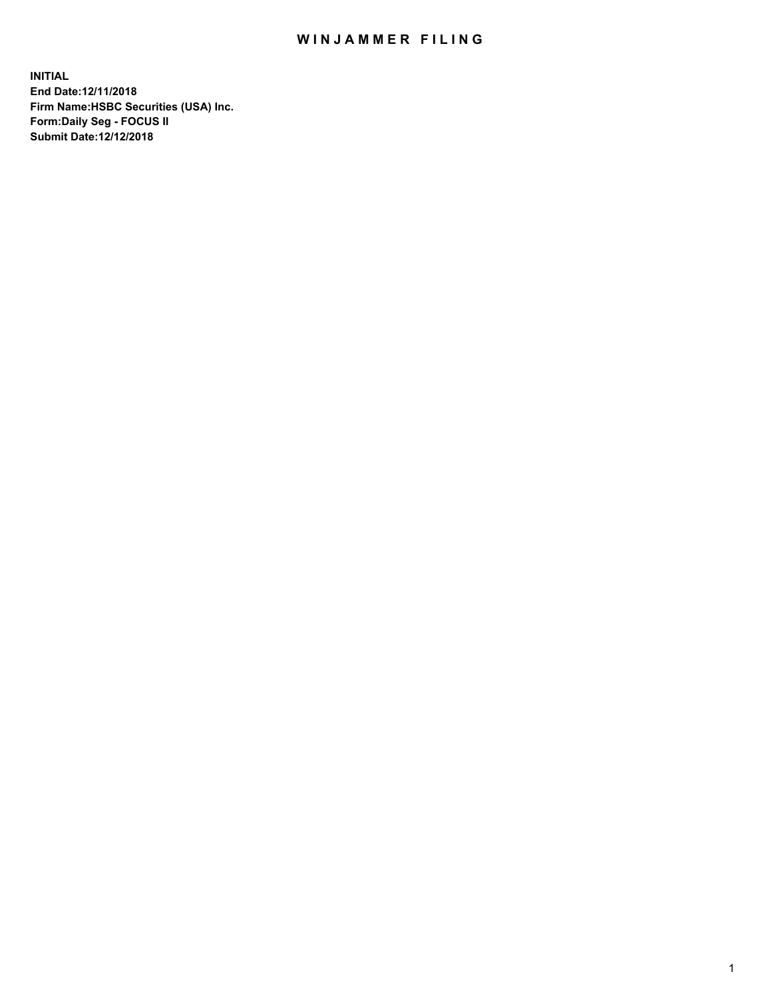## WIN JAMMER FILING

**INITIAL End Date:12/11/2018 Firm Name:HSBC Securities (USA) Inc. Form:Daily Seg - FOCUS II Submit Date:12/12/2018**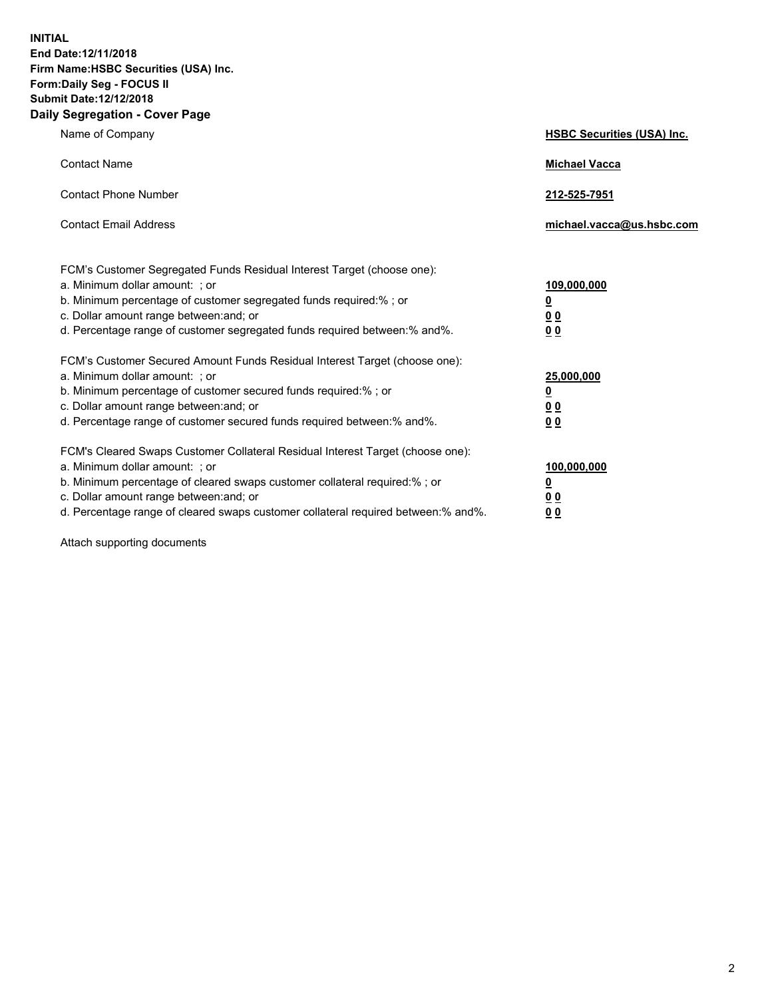**INITIAL End Date:12/11/2018 Firm Name:HSBC Securities (USA) Inc. Form:Daily Seg - FOCUS II Submit Date:12/12/2018 Daily Segregation - Cover Page**

| Name of Company                                                                                                                                                                                                                                                                                                                | <b>HSBC Securities (USA) Inc.</b>                                          |
|--------------------------------------------------------------------------------------------------------------------------------------------------------------------------------------------------------------------------------------------------------------------------------------------------------------------------------|----------------------------------------------------------------------------|
| <b>Contact Name</b>                                                                                                                                                                                                                                                                                                            | <b>Michael Vacca</b>                                                       |
| <b>Contact Phone Number</b>                                                                                                                                                                                                                                                                                                    | 212-525-7951                                                               |
| <b>Contact Email Address</b>                                                                                                                                                                                                                                                                                                   | michael.vacca@us.hsbc.com                                                  |
| FCM's Customer Segregated Funds Residual Interest Target (choose one):<br>a. Minimum dollar amount: : or<br>b. Minimum percentage of customer segregated funds required:% ; or<br>c. Dollar amount range between: and; or<br>d. Percentage range of customer segregated funds required between:% and%.                         | 109,000,000<br>$\overline{\mathbf{0}}$<br>0 <sub>0</sub><br>0 <sub>0</sub> |
| FCM's Customer Secured Amount Funds Residual Interest Target (choose one):<br>a. Minimum dollar amount: ; or<br>b. Minimum percentage of customer secured funds required:%; or<br>c. Dollar amount range between: and; or<br>d. Percentage range of customer secured funds required between:% and%.                            | 25,000,000<br><u>0</u><br>0 <sub>0</sub><br>00                             |
| FCM's Cleared Swaps Customer Collateral Residual Interest Target (choose one):<br>a. Minimum dollar amount: ; or<br>b. Minimum percentage of cleared swaps customer collateral required:% ; or<br>c. Dollar amount range between: and; or<br>d. Percentage range of cleared swaps customer collateral required between:% and%. | 100,000,000<br><u>0</u><br>00<br>0 <sub>0</sub>                            |

Attach supporting documents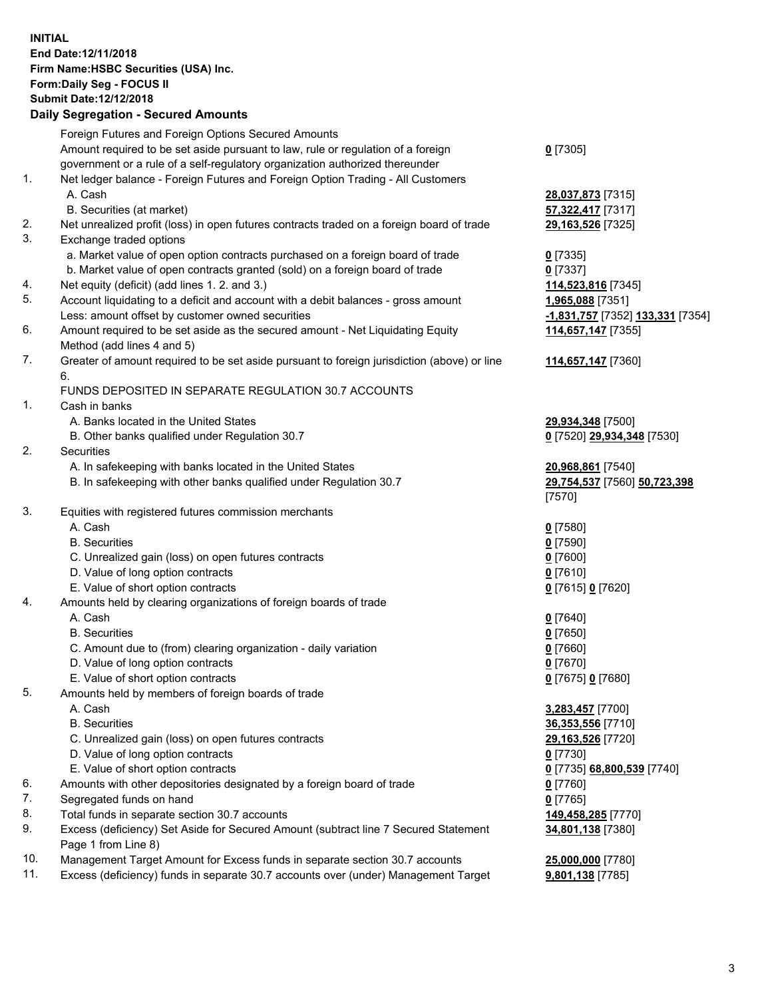**INITIAL End Date:12/11/2018 Firm Name:HSBC Securities (USA) Inc. Form:Daily Seg - FOCUS II Submit Date:12/12/2018 Daily Segregation - Secured Amounts** Foreign Futures and Foreign Options Secured Amounts Amount required to be set aside pursuant to law, rule or regulation of a foreign government or a rule of a self-regulatory organization authorized thereunder **0** [7305] 1. Net ledger balance - Foreign Futures and Foreign Option Trading - All Customers A. Cash **28,037,873** [7315] B. Securities (at market) **57,322,417** [7317] 2. Net unrealized profit (loss) in open futures contracts traded on a foreign board of trade **29,163,526** [7325] 3. Exchange traded options a. Market value of open option contracts purchased on a foreign board of trade **0** [7335] b. Market value of open contracts granted (sold) on a foreign board of trade **0** [7337] 4. Net equity (deficit) (add lines 1. 2. and 3.) **114,523,816** [7345] 5. Account liquidating to a deficit and account with a debit balances - gross amount **1,965,088** [7351] Less: amount offset by customer owned securities **-1,831,757** [7352] **133,331** [7354] 6. Amount required to be set aside as the secured amount - Net Liquidating Equity Method (add lines 4 and 5) **114,657,147** [7355] 7. Greater of amount required to be set aside pursuant to foreign jurisdiction (above) or line 6. **114,657,147** [7360] FUNDS DEPOSITED IN SEPARATE REGULATION 30.7 ACCOUNTS 1. Cash in banks A. Banks located in the United States **29,934,348** [7500] B. Other banks qualified under Regulation 30.7 **0** [7520] **29,934,348** [7530] 2. Securities A. In safekeeping with banks located in the United States **20,968,861** [7540] B. In safekeeping with other banks qualified under Regulation 30.7 **29,754,537** [7560] **50,723,398** [7570] 3. Equities with registered futures commission merchants A. Cash **0** [7580] B. Securities **0** [7590] C. Unrealized gain (loss) on open futures contracts **0** [7600] D. Value of long option contracts **0** [7610] E. Value of short option contracts **0** [7615] **0** [7620] 4. Amounts held by clearing organizations of foreign boards of trade A. Cash **0** [7640] B. Securities **0** [7650] C. Amount due to (from) clearing organization - daily variation **0** [7660] D. Value of long option contracts **0** [7670] E. Value of short option contracts **0** [7675] **0** [7680] 5. Amounts held by members of foreign boards of trade A. Cash **3,283,457** [7700] B. Securities **36,353,556** [7710] C. Unrealized gain (loss) on open futures contracts **29,163,526** [7720] D. Value of long option contracts **0** [7730] E. Value of short option contracts **0** [7735] **68,800,539** [7740] 6. Amounts with other depositories designated by a foreign board of trade **0** [7760] 7. Segregated funds on hand **0** [7765] 8. Total funds in separate section 30.7 accounts **149,458,285** [7770] 9. Excess (deficiency) Set Aside for Secured Amount (subtract line 7 Secured Statement Page 1 from Line 8) **34,801,138** [7380]

10. Management Target Amount for Excess funds in separate section 30.7 accounts **25,000,000** [7780]

11. Excess (deficiency) funds in separate 30.7 accounts over (under) Management Target **9,801,138** [7785]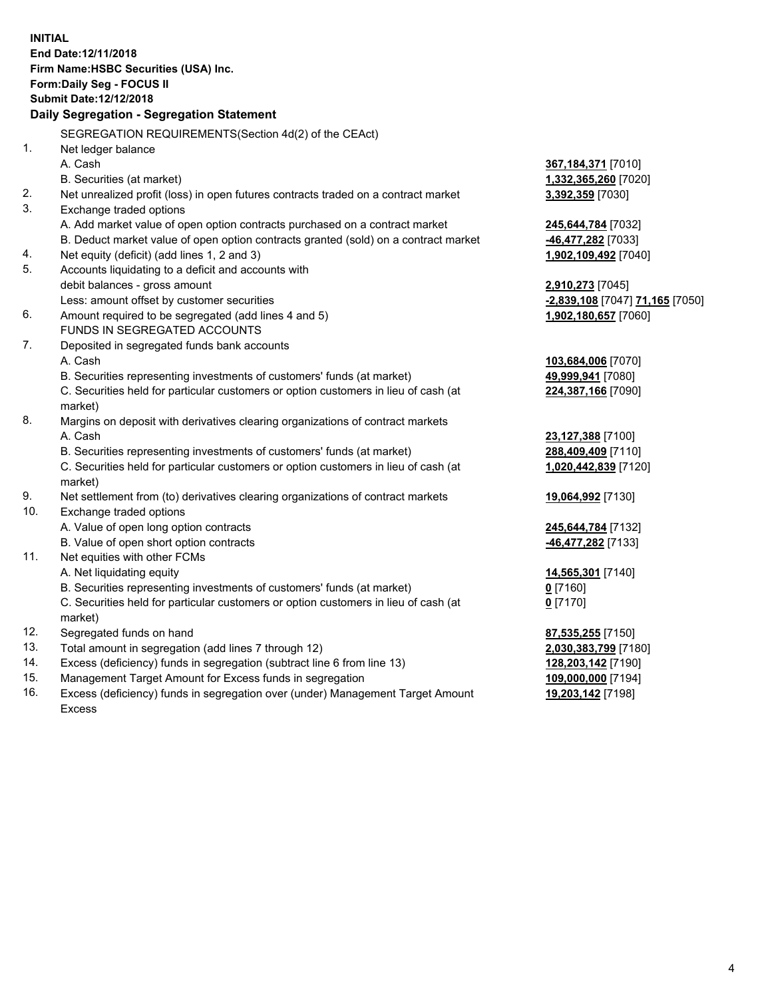|     | <b>INITIAL</b><br>End Date: 12/11/2018<br>Firm Name: HSBC Securities (USA) Inc.<br>Form: Daily Seg - FOCUS II<br>Submit Date: 12/12/2018<br>Daily Segregation - Segregation Statement |                                 |
|-----|---------------------------------------------------------------------------------------------------------------------------------------------------------------------------------------|---------------------------------|
|     | SEGREGATION REQUIREMENTS(Section 4d(2) of the CEAct)                                                                                                                                  |                                 |
| 1.  | Net ledger balance                                                                                                                                                                    |                                 |
|     | A. Cash                                                                                                                                                                               | 367,184,371 [7010]              |
|     | B. Securities (at market)                                                                                                                                                             | 1,332,365,260 [7020]            |
| 2.  | Net unrealized profit (loss) in open futures contracts traded on a contract market                                                                                                    | 3,392,359 [7030]                |
| 3.  | Exchange traded options                                                                                                                                                               |                                 |
|     | A. Add market value of open option contracts purchased on a contract market                                                                                                           | 245,644,784 [7032]              |
|     | B. Deduct market value of open option contracts granted (sold) on a contract market                                                                                                   | -46,477,282 [7033]              |
| 4.  | Net equity (deficit) (add lines 1, 2 and 3)                                                                                                                                           | 1,902,109,492 [7040]            |
| 5.  | Accounts liquidating to a deficit and accounts with                                                                                                                                   |                                 |
|     | debit balances - gross amount                                                                                                                                                         | 2,910,273 [7045]                |
|     | Less: amount offset by customer securities                                                                                                                                            | -2,839,108 [7047] 71,165 [7050] |
| 6.  | Amount required to be segregated (add lines 4 and 5)                                                                                                                                  | 1,902,180,657 [7060]            |
|     | FUNDS IN SEGREGATED ACCOUNTS                                                                                                                                                          |                                 |
| 7.  | Deposited in segregated funds bank accounts                                                                                                                                           |                                 |
|     | A. Cash                                                                                                                                                                               | 103,684,006 [7070]              |
|     | B. Securities representing investments of customers' funds (at market)                                                                                                                | 49,999,941 [7080]               |
|     | C. Securities held for particular customers or option customers in lieu of cash (at                                                                                                   | 224,387,166 [7090]              |
|     | market)                                                                                                                                                                               |                                 |
| 8.  | Margins on deposit with derivatives clearing organizations of contract markets                                                                                                        |                                 |
|     | A. Cash                                                                                                                                                                               | 23,127,388 [7100]               |
|     | B. Securities representing investments of customers' funds (at market)                                                                                                                | 288,409,409 [7110]              |
|     | C. Securities held for particular customers or option customers in lieu of cash (at<br>market)                                                                                        | 1,020,442,839 [7120]            |
| 9.  | Net settlement from (to) derivatives clearing organizations of contract markets                                                                                                       | 19,064,992 [7130]               |
| 10. | Exchange traded options                                                                                                                                                               |                                 |
|     | A. Value of open long option contracts                                                                                                                                                | 245,644,784 [7132]              |
|     | B. Value of open short option contracts                                                                                                                                               | 46,477,282 [7133]               |
| 11. | Net equities with other FCMs                                                                                                                                                          |                                 |
|     | A. Net liquidating equity                                                                                                                                                             | 14,565,301 [7140]               |
|     | B. Securities representing investments of customers' funds (at market)                                                                                                                | 0 [7160]                        |
|     | C. Securities held for particular customers or option customers in lieu of cash (at                                                                                                   | $0$ [7170]                      |
|     | market)                                                                                                                                                                               |                                 |
| 12. | Segregated funds on hand                                                                                                                                                              | 87,535,255 [7150]               |
| 13. | Total amount in segregation (add lines 7 through 12)                                                                                                                                  | 2,030,383,799 [7180]            |
| 14. | Excess (deficiency) funds in segregation (subtract line 6 from line 13)                                                                                                               | 128,203,142 [7190]              |
| 15. | Management Target Amount for Excess funds in segregation                                                                                                                              | 109,000,000 [7194]              |
| 16. | Excess (deficiency) funds in segregation over (under) Management Target Amount                                                                                                        | 19,203,142 [7198]               |

16. Excess (deficiency) funds in segregation over (under) Management Target Amount Excess